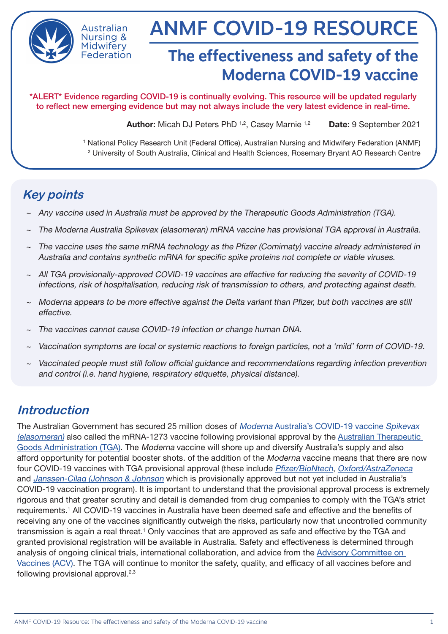

Australian Nursing & Midwiferv Federation

# ANMF COVID-19 RESOURCE

# **The effectiveness and safety of the Moderna COVID-19 vaccine**

\*ALERT\* Evidence regarding COVID-19 is continually evolving. This resource will be updated regularly to reflect new emerging evidence but may not always include the very latest evidence in real-time.

Author: Micah DJ Peters PhD <sup>1,2</sup>, Casey Marnie <sup>1,2</sup> Date: 9 September 2021

1 National Policy Research Unit (Federal Office), Australian Nursing and Midwifery Federation (ANMF) 2 University of South Australia, Clinical and Health Sciences, Rosemary Bryant AO Research Centre

# **Key points**

- ~ Any vaccine used in Australia must be approved by the Therapeutic Goods Administration (TGA).
- ~ The Moderna Australia Spikevax (elasomeran) mRNA vaccine has provisional TGA approval in Australia.
- The vaccine uses the same mRNA technology as the Pfizer (Comirnaty) vaccine already administered in Australia and contains synthetic mRNA for specific spike proteins not complete or viable viruses.
- ~ All TGA provisionally-approved COVID-19 vaccines are effective for reducing the severity of COVID-19 infections, risk of hospitalisation, reducing risk of transmission to others, and protecting against death.
- ~ Moderna appears to be more effective against the Delta variant than Pfizer, but both vaccines are still effective.
- The vaccines cannot cause COVID-19 infection or change human DNA.
- Vaccination symptoms are local or systemic reactions to foreign particles, not a 'mild' form of COVID-19.
- Vaccinated people must still follow official guidance and recommendations regarding infection prevention and control (i.e. hand hygiene, respiratory etiquette, physical distance).

# **Introduction**

The Australian Government has secured 25 million doses of Moderna [Australia's COVID-19 vaccine](https://www.tga.gov.au/covid-19-vaccine-spikevax-elasomeran) Spikevax [\(elasomeran\)](https://www.tga.gov.au/covid-19-vaccine-spikevax-elasomeran) also called the mRNA-1273 vaccine following provisional approval by the [Australian Therapeutic](https://www.tga.gov.au/covid-19-vaccines)  [Goods Administration \(TGA\)](https://www.tga.gov.au/covid-19-vaccines). The Moderna vaccine will shore up and diversify Australia's supply and also afford opportunity for potential booster shots. of the addition of the Moderna vaccine means that there are now four COVID-19 vaccines with TGA provisional approval (these include [Pfizer/BioNtech](https://www.tga.gov.au/covid-19-vaccine-pfizer-australia-comirnaty-bnt162b2-mrna-approved-use-individuals-12-years-and-older), [Oxford/AstraZeneca](https://www.tga.gov.au/covid-19-vaccine-astrazeneca-chadox1-s) and [Janssen-Cilag \(Johnson & Johnson](https://www.tga.gov.au/covid-19-vaccine-janssen) which is provisionally approved but not yet included in Australia's COVID-19 vaccination program). It is important to understand that the provisional approval process is extremely rigorous and that greater scrutiny and detail is demanded from drug companies to comply with the TGA's strict requirements.<sup>1</sup> All COVID-19 vaccines in Australia have been deemed safe and effective and the benefits of receiving any one of the vaccines significantly outweigh the risks, particularly now that uncontrolled community transmission is again a real threat.<sup>1</sup> Only vaccines that are approved as safe and effective by the TGA and granted provisional registration will be available in Australia. Safety and effectiveness is determined through analysis of ongoing clinical trials, international collaboration, and advice from the [Advisory Committee on](https://www.tga.gov.au/committee/advisory-committee-vaccines-acv)  [Vaccines \(ACV\)](https://www.tga.gov.au/committee/advisory-committee-vaccines-acv). The TGA will continue to monitor the safety, quality, and efficacy of all vaccines before and following provisional approval.<sup>2,3</sup>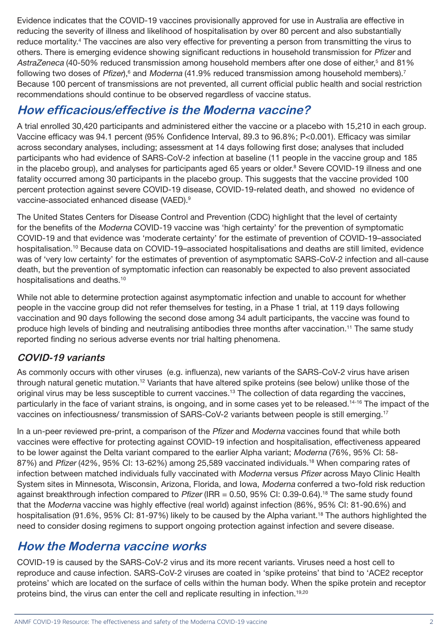Evidence indicates that the COVID-19 vaccines provisionally approved for use in Australia are effective in reducing the severity of illness and likelihood of hospitalisation by over 80 percent and also substantially reduce mortality.<sup>4</sup> The vaccines are also very effective for preventing a person from transmitting the virus to others. There is emerging evidence showing significant reductions in household transmission for Pfizer and AstraZeneca (40-50% reduced transmission among household members after one dose of either,<sup>5</sup> and 81% following two doses of Pfizer),<sup>6</sup> and Moderna (41.9% reduced transmission among household members).<sup>7</sup> Because 100 percent of transmissions are not prevented, all current official public health and social restriction recommendations should continue to be observed regardless of vaccine status.

# **How efficacious/effective is the Moderna vaccine?**

A trial enrolled 30,420 participants and administered either the vaccine or a placebo with 15,210 in each group. Vaccine efficacy was 94.1 percent (95% Confidence Interval, 89.3 to 96.8%; P<0.001). Efficacy was similar across secondary analyses, including; assessment at 14 days following first dose; analyses that included participants who had evidence of SARS-CoV-2 infection at baseline (11 people in the vaccine group and 185 in the placebo group), and analyses for participants aged 65 years or older.<sup>8</sup> Severe COVID-19 illness and one fatality occurred among 30 participants in the placebo group. This suggests that the vaccine provided 100 percent protection against severe COVID-19 disease, COVID-19-related death, and showed no evidence of vaccine-associated enhanced disease (VAED).9

The United States Centers for Disease Control and Prevention (CDC) highlight that the level of certainty for the benefits of the Moderna COVID-19 vaccine was 'high certainty' for the prevention of symptomatic COVID-19 and that evidence was 'moderate certainty' for the estimate of prevention of COVID-19–associated hospitalisation.10 Because data on COVID-19–associated hospitalisations and deaths are still limited, evidence was of 'very low certainty' for the estimates of prevention of asymptomatic SARS-CoV-2 infection and all-cause death, but the prevention of symptomatic infection can reasonably be expected to also prevent associated hospitalisations and deaths.<sup>10</sup>

While not able to determine protection against asymptomatic infection and unable to account for whether people in the vaccine group did not refer themselves for testing, in a Phase 1 trial, at 119 days following vaccination and 90 days following the second dose among 34 adult participants, the vaccine was found to produce high levels of binding and neutralising antibodies three months after vaccination.11 The same study reported finding no serious adverse events nor trial halting phenomena.

#### **COVID-19 variants**

As commonly occurs with other viruses (e.g. influenza), new variants of the SARS-CoV-2 virus have arisen through natural genetic mutation.12 Variants that have altered spike proteins (see below) unlike those of the original virus may be less susceptible to current vaccines.13 The collection of data regarding the vaccines, particularly in the face of variant strains, is ongoing, and in some cases yet to be released.<sup>14-16</sup> The impact of the vaccines on infectiousness/ transmission of SARS-CoV-2 variants between people is still emerging.17

In a un-peer reviewed pre-print, a comparison of the Pfizer and Moderna vaccines found that while both vaccines were effective for protecting against COVID-19 infection and hospitalisation, effectiveness appeared to be lower against the Delta variant compared to the earlier Alpha variant; Moderna (76%, 95% CI: 58- 87%) and Pfizer (42%, 95% CI: 13-62%) among 25,589 vaccinated individuals.18 When comparing rates of infection between matched individuals fully vaccinated with Moderna versus Pfizer across Mayo Clinic Health System sites in Minnesota, Wisconsin, Arizona, Florida, and Iowa, Moderna conferred a two-fold risk reduction against breakthrough infection compared to Pfizer (IRR = 0.50, 95% CI: 0.39-0.64).<sup>18</sup> The same study found that the Moderna vaccine was highly effective (real world) against infection (86%, 95% CI: 81-90.6%) and hospitalisation (91.6%, 95% CI: 81-97%) likely to be caused by the Alpha variant.<sup>18</sup> The authors highlighted the need to consider dosing regimens to support ongoing protection against infection and severe disease.

## **How the Moderna vaccine works**

COVID-19 is caused by the SARS-CoV-2 virus and its more recent variants. Viruses need a host cell to reproduce and cause infection. SARS-CoV-2 viruses are coated in 'spike proteins' that bind to 'ACE2 receptor proteins' which are located on the surface of cells within the human body. When the spike protein and receptor proteins bind, the virus can enter the cell and replicate resulting in infection.19,20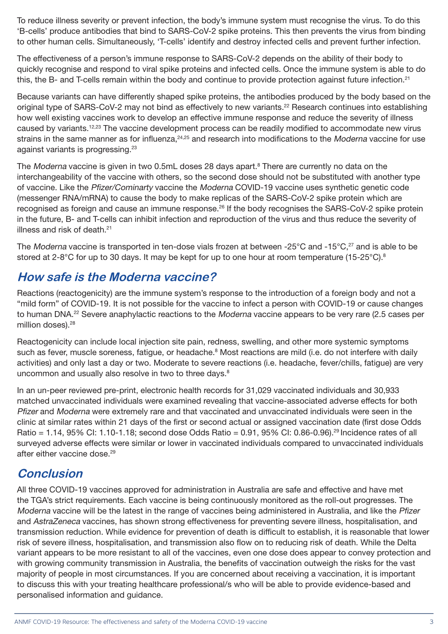To reduce illness severity or prevent infection, the body's immune system must recognise the virus. To do this 'B-cells' produce antibodies that bind to SARS-CoV-2 spike proteins. This then prevents the virus from binding to other human cells. Simultaneously, 'T-cells' identify and destroy infected cells and prevent further infection.

The effectiveness of a person's immune response to SARS-CoV-2 depends on the ability of their body to quickly recognise and respond to viral spike proteins and infected cells. Once the immune system is able to do this, the B- and T-cells remain within the body and continue to provide protection against future infection.<sup>21</sup>

Because variants can have differently shaped spike proteins, the antibodies produced by the body based on the original type of SARS-CoV-2 may not bind as effectively to new variants.<sup>22</sup> Research continues into establishing how well existing vaccines work to develop an effective immune response and reduce the severity of illness caused by variants.<sup>12,23</sup> The vaccine development process can be readily modified to accommodate new virus strains in the same manner as for influenza,<sup>24,25</sup> and research into modifications to the Moderna vaccine for use against variants is progressing.23

The Moderna vaccine is given in two 0.5mL doses 28 days apart.<sup>8</sup> There are currently no data on the interchangeability of the vaccine with others, so the second dose should not be substituted with another type of vaccine. Like the Pfizer/Cominarty vaccine the Moderna COVID-19 vaccine uses synthetic genetic code (messenger RNA/mRNA) to cause the body to make replicas of the SARS-CoV-2 spike protein which are recognised as foreign and cause an immune response.26 If the body recognises the SARS-CoV-2 spike protein in the future, B- and T-cells can inhibit infection and reproduction of the virus and thus reduce the severity of illness and risk of death.<sup>21</sup>

The Moderna vaccine is transported in ten-dose vials frozen at between -25°C and -15°C,<sup>27</sup> and is able to be stored at 2-8°C for up to 30 days. It may be kept for up to one hour at room temperature (15-25°C).<sup>8</sup>

# **How safe is the Moderna vaccine?**

Reactions (reactogenicity) are the immune system's response to the introduction of a foreign body and not a "mild form" of COVID-19. It is not possible for the vaccine to infect a person with COVID-19 or cause changes to human DNA.<sup>22</sup> Severe anaphylactic reactions to the *Moderna* vaccine appears to be very rare (2.5 cases per million doses).<sup>28</sup>

Reactogenicity can include local injection site pain, redness, swelling, and other more systemic symptoms such as fever, muscle soreness, fatigue, or headache.<sup>8</sup> Most reactions are mild (i.e. do not interfere with daily activities) and only last a day or two. Moderate to severe reactions (i.e. headache, fever/chills, fatigue) are very uncommon and usually also resolve in two to three days.<sup>8</sup>

In an un-peer reviewed pre-print, electronic health records for 31,029 vaccinated individuals and 30,933 matched unvaccinated individuals were examined revealing that vaccine-associated adverse effects for both Pfizer and Moderna were extremely rare and that vaccinated and unvaccinated individuals were seen in the clinic at similar rates within 21 days of the first or second actual or assigned vaccination date (first dose Odds Ratio = 1.14, 95% CI: 1.10-1.18; second dose Odds Ratio = 0.91, 95% CI: 0.86-0.96).29 Incidence rates of all surveyed adverse effects were similar or lower in vaccinated individuals compared to unvaccinated individuals after either vaccine dose.<sup>29</sup>

## **Conclusion**

All three COVID-19 vaccines approved for administration in Australia are safe and effective and have met the TGA's strict requirements. Each vaccine is being continuously monitored as the roll-out progresses. The Moderna vaccine will be the latest in the range of vaccines being administered in Australia, and like the Pfizer and AstraZeneca vaccines, has shown strong effectiveness for preventing severe illness, hospitalisation, and transmission reduction. While evidence for prevention of death is difficult to establish, it is reasonable that lower risk of severe illness, hospitalisation, and transmission also flow on to reducing risk of death. While the Delta variant appears to be more resistant to all of the vaccines, even one dose does appear to convey protection and with growing community transmission in Australia, the benefits of vaccination outweigh the risks for the vast majority of people in most circumstances. If you are concerned about receiving a vaccination, it is important to discuss this with your treating healthcare professional/s who will be able to provide evidence-based and personalised information and guidance.